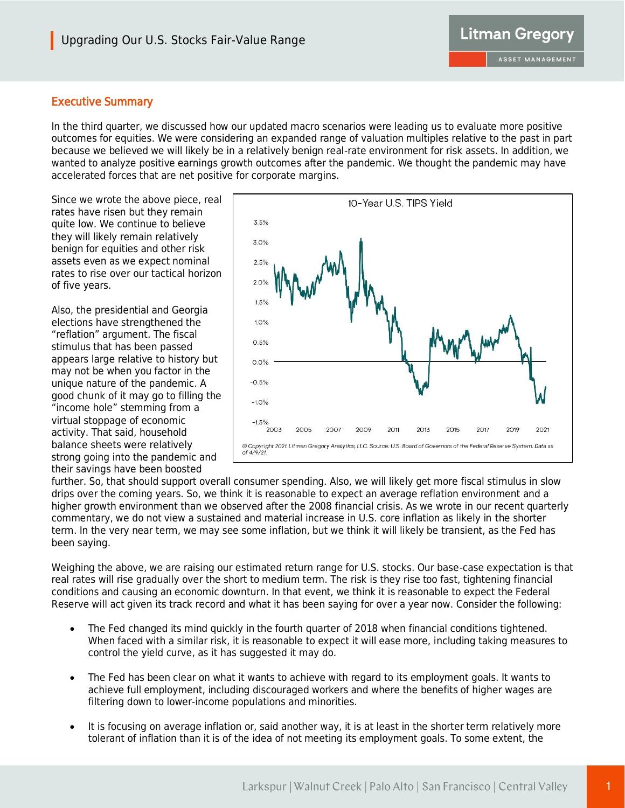## Executive Summary

In the third quarter, we discussed how our updated macro scenarios were leading us to evaluate more positive outcomes for equities. We were considering an expanded range of valuation multiples relative to the past in part because we believed we will likely be in a relatively benign real-rate environment for risk assets. In addition, we wanted to analyze positive earnings growth outcomes after the pandemic. We thought the pandemic may have accelerated forces that are net positive for corporate margins.

Since we wrote the above piece, real rates have risen but they remain quite low. We continue to believe they will likely remain relatively benign for equities and other risk assets even as we expect nominal rates to rise over our tactical horizon of five years.

Also, the presidential and Georgia elections have strengthened the "reflation" argument. The fiscal stimulus that has been passed appears large relative to history but may not be when you factor in the unique nature of the pandemic. A good chunk of it may go to filling the "income hole" stemming from a virtual stoppage of economic activity. That said, household balance sheets were relatively strong going into the pandemic and their savings have been boosted



further. So, that should support overall consumer spending. Also, we will likely get more fiscal stimulus in slow drips over the coming years. So, we think it is reasonable to expect an average reflation environment and a higher growth environment than we observed after the 2008 financial crisis. As we wrote in our recent quarterly commentary, we do not view a sustained and material increase in U.S. core inflation as likely in the shorter term. In the very near term, we may see some inflation, but we think it will likely be transient, as the Fed has been saying.

Weighing the above, we are raising our estimated return range for U.S. stocks. Our base-case expectation is that real rates will rise gradually over the short to medium term. The risk is they rise too fast, tightening financial conditions and causing an economic downturn. In that event, we think it is reasonable to expect the Federal Reserve will act given its track record and what it has been saying for over a year now. Consider the following:

- The Fed changed its mind quickly in the fourth quarter of 2018 when financial conditions tightened. When faced with a similar risk, it is reasonable to expect it will ease more, including taking measures to control the yield curve, as it has suggested it may do.
- The Fed has been clear on what it wants to achieve with regard to its employment goals. It wants to achieve full employment, including discouraged workers and where the benefits of higher wages are filtering down to lower-income populations and minorities.
- It is focusing on average inflation or, said another way, it is at least in the shorter term relatively more tolerant of inflation than it is of the idea of not meeting its employment goals. To some extent, the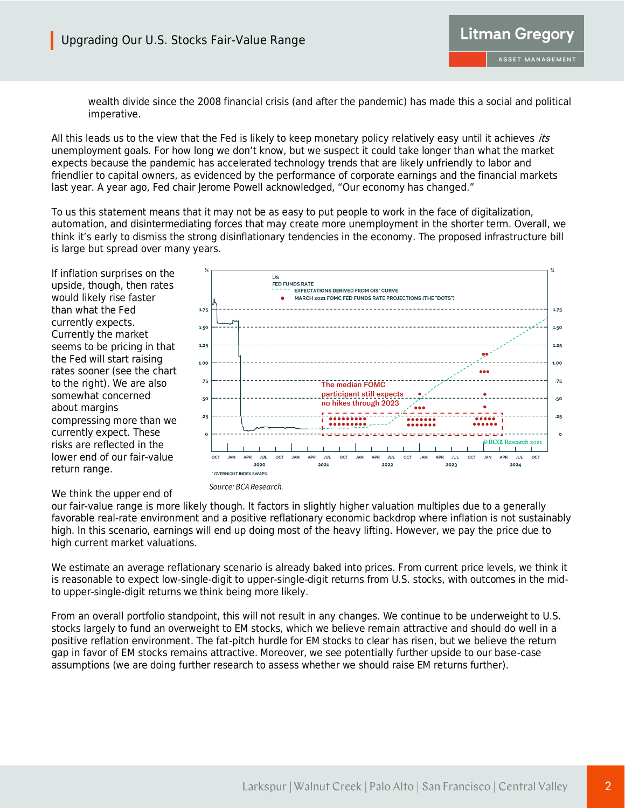

wealth divide since the 2008 financial crisis (and after the pandemic) has made this a social and political imperative.

All this leads us to the view that the Fed is likely to keep monetary policy relatively easy until it achieves *its* unemployment goals. For how long we don't know, but we suspect it could take longer than what the market expects because the pandemic has accelerated technology trends that are likely unfriendly to labor and friendlier to capital owners, as evidenced by the performance of corporate earnings and the financial markets last year. A year ago, Fed chair Jerome Powell acknowledged, "Our economy has changed."

To us this statement means that it may not be as easy to put people to work in the face of digitalization, automation, and disintermediating forces that may create more unemployment in the shorter term. Overall, we think it's early to dismiss the strong disinflationary tendencies in the economy. The proposed infrastructure bill is large but spread over many years.

If inflation surprises on the upside, though, then rates would likely rise faster than what the Fed currently expects. Currently the market seems to be pricing in that the Fed will start raising rates sooner (see the chart to the right). We are also somewhat concerned about margins compressing more than we currently expect. These risks are reflected in the lower end of our fair-value return range.



We think the upper end of

our fair-value range is more likely though. It factors in slightly higher valuation multiples due to a generally favorable real-rate environment and a positive reflationary economic backdrop where inflation is not sustainably high. In this scenario, earnings will end up doing most of the heavy lifting. However, we pay the price due to high current market valuations.

We estimate an average reflationary scenario is already baked into prices. From current price levels, we think it is reasonable to expect low-single-digit to upper-single-digit returns from U.S. stocks, with outcomes in the midto upper-single-digit returns we think being more likely.

From an overall portfolio standpoint, this will not result in any changes. We continue to be underweight to U.S. stocks largely to fund an overweight to EM stocks, which we believe remain attractive and should do well in a positive reflation environment. The fat-pitch hurdle for EM stocks to clear has risen, but we believe the return gap in favor of EM stocks remains attractive. Moreover, we see potentially further upside to our base-case assumptions (we are doing further research to assess whether we should raise EM returns further).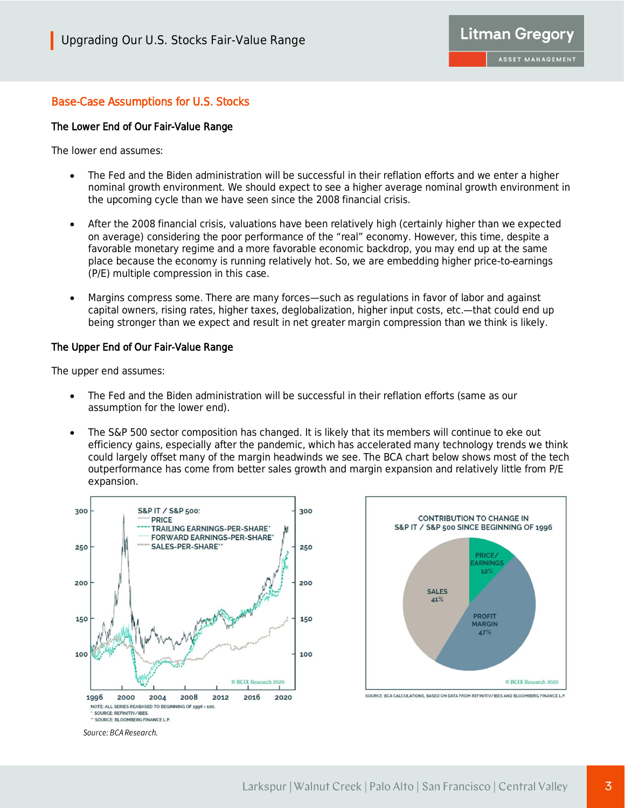## Base-Case Assumptions for U.S. Stocks

#### The Lower End of Our Fair-Value Range

The lower end assumes:

- The Fed and the Biden administration will be successful in their reflation efforts and we enter a higher nominal growth environment. We should expect to see a higher average nominal growth environment in the upcoming cycle than we have seen since the 2008 financial crisis.
- After the 2008 financial crisis, valuations have been relatively high (certainly higher than we expected on average) considering the poor performance of the "real" economy. However, this time, despite a favorable monetary regime and a more favorable economic backdrop, you may end up at the same place because the economy is running relatively hot. So, we are embedding higher price-to-earnings (P/E) multiple compression in this case.
- Margins compress some. There are many forces—such as regulations in favor of labor and against capital owners, rising rates, higher taxes, deglobalization, higher input costs, etc.—that could end up being stronger than we expect and result in net greater margin compression than we think is likely.

#### The Upper End of Our Fair-Value Range

The upper end assumes:

- The Fed and the Biden administration will be successful in their reflation efforts (same as our assumption for the lower end).
- The S&P 500 sector composition has changed. It is likely that its members will continue to eke out efficiency gains, especially after the pandemic, which has accelerated many technology trends we think could largely offset many of the margin headwinds we see. The BCA chart below shows most of the tech outperformance has come from better sales growth and margin expansion and relatively little from P/E expansion.



47%

BCCL Research 2020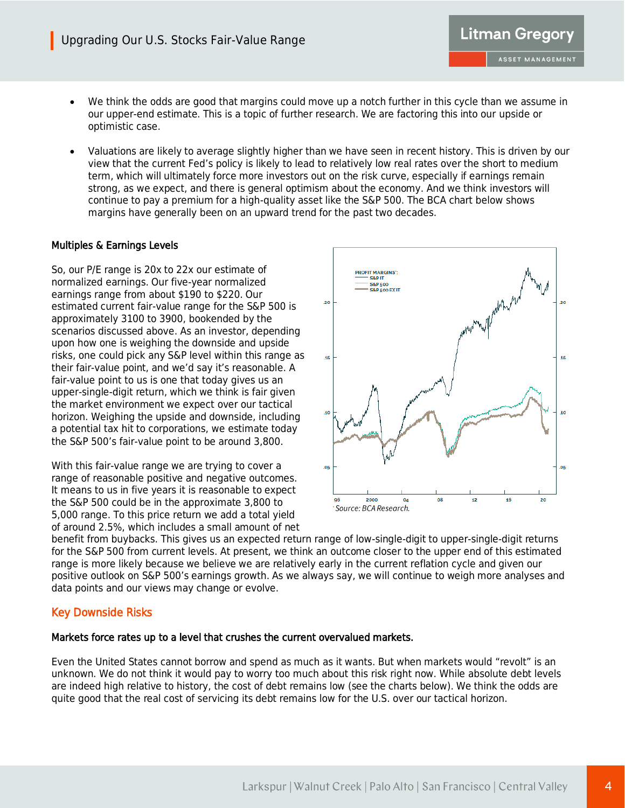- We think the odds are good that margins could move up a notch further in this cycle than we assume in our upper-end estimate. This is a topic of further research. We are factoring this into our upside or optimistic case.
- Valuations are likely to average slightly higher than we have seen in recent history. This is driven by our view that the current Fed's policy is likely to lead to relatively low real rates over the short to medium term, which will ultimately force more investors out on the risk curve, especially if earnings remain strong, as we expect, and there is general optimism about the economy. And we think investors will continue to pay a premium for a high-quality asset like the S&P 500. The BCA chart below shows margins have generally been on an upward trend for the past two decades.

#### Multiples & Earnings Levels

So, our P/E range is 20x to 22x our estimate of normalized earnings. Our five-year normalized earnings range from about \$190 to \$220. Our estimated current fair-value range for the S&P 500 is approximately 3100 to 3900, bookended by the scenarios discussed above. As an investor, depending upon how one is weighing the downside and upside risks, one could pick any S&P level within this range as their fair-value point, and we'd say it's reasonable. A fair-value point to us is one that today gives us an upper-single-digit return, which we think is fair given the market environment we expect over our tactical horizon. Weighing the upside and downside, including a potential tax hit to corporations, we estimate today the S&P 500's fair-value point to be around 3,800.

With this fair-value range we are trying to cover a range of reasonable positive and negative outcomes. It means to us in five years it is reasonable to expect the S&P 500 could be in the approximate 3,800 to 5,000 range. To this price return we add a total yield of around 2.5%, which includes a small amount of net



**Litman Gregory** 

ASSET MANAGEMENT

benefit from buybacks. This gives us an expected return range of low-single-digit to upper-single-digit returns for the S&P 500 from current levels. At present, we think an outcome closer to the upper end of this estimated range is more likely because we believe we are relatively early in the current reflation cycle and given our positive outlook on S&P 500's earnings growth. As we always say, we will continue to weigh more analyses and data points and our views may change or evolve.

### Key Downside Risks

#### Markets force rates up to a level that crushes the current overvalued markets.

Even the United States cannot borrow and spend as much as it wants. But when markets would "revolt" is an unknown. We do not think it would pay to worry too much about this risk right now. While absolute debt levels are indeed high relative to history, the cost of debt remains low (see the charts below). We think the odds are quite good that the real cost of servicing its debt remains low for the U.S. over our tactical horizon.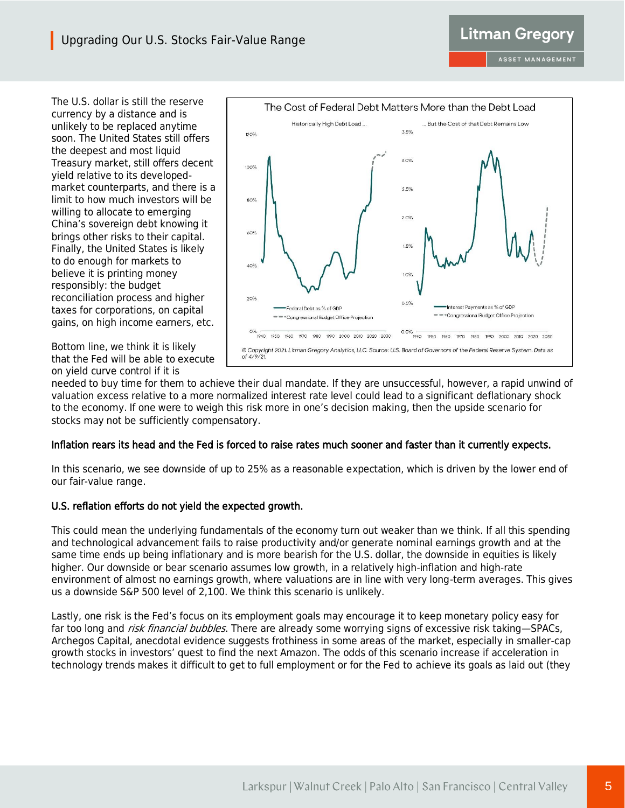The U.S. dollar is still the reserve currency by a distance and is unlikely to be replaced anytime soon. The United States still offers the deepest and most liquid Treasury market, still offers decent yield relative to its developedmarket counterparts, and there is a limit to how much investors will be willing to allocate to emerging China's sovereign debt knowing it brings other risks to their capital. Finally, the United States is likely to do enough for markets to believe it is printing money responsibly: the budget reconciliation process and higher taxes for corporations, on capital gains, on high income earners, etc.

Bottom line, we think it is likely that the Fed will be able to execute on yield curve control if it is



needed to buy time for them to achieve their dual mandate. If they are unsuccessful, however, a rapid unwind of valuation excess relative to a more normalized interest rate level could lead to a significant deflationary shock to the economy. If one were to weigh this risk more in one's decision making, then the upside scenario for stocks may not be sufficiently compensatory.

### Inflation rears its head and the Fed is forced to raise rates much sooner and faster than it currently expects.

In this scenario, we see downside of up to 25% as a reasonable expectation, which is driven by the lower end of our fair-value range.

### U.S. reflation efforts do not yield the expected growth.

This could mean the underlying fundamentals of the economy turn out weaker than we think. If all this spending and technological advancement fails to raise productivity and/or generate nominal earnings growth and at the same time ends up being inflationary and is more bearish for the U.S. dollar, the downside in equities is likely higher. Our downside or bear scenario assumes low growth, in a relatively high-inflation and high-rate environment of almost no earnings growth, where valuations are in line with very long-term averages. This gives us a downside S&P 500 level of 2,100. We think this scenario is unlikely.

Lastly, one risk is the Fed's focus on its employment goals may encourage it to keep monetary policy easy for far too long and risk financial bubbles. There are already some worrying signs of excessive risk taking-SPACs, Archegos Capital, anecdotal evidence suggests frothiness in some areas of the market, especially in smaller-cap growth stocks in investors' quest to find the next Amazon. The odds of this scenario increase if acceleration in technology trends makes it difficult to get to full employment or for the Fed to achieve its goals as laid out (they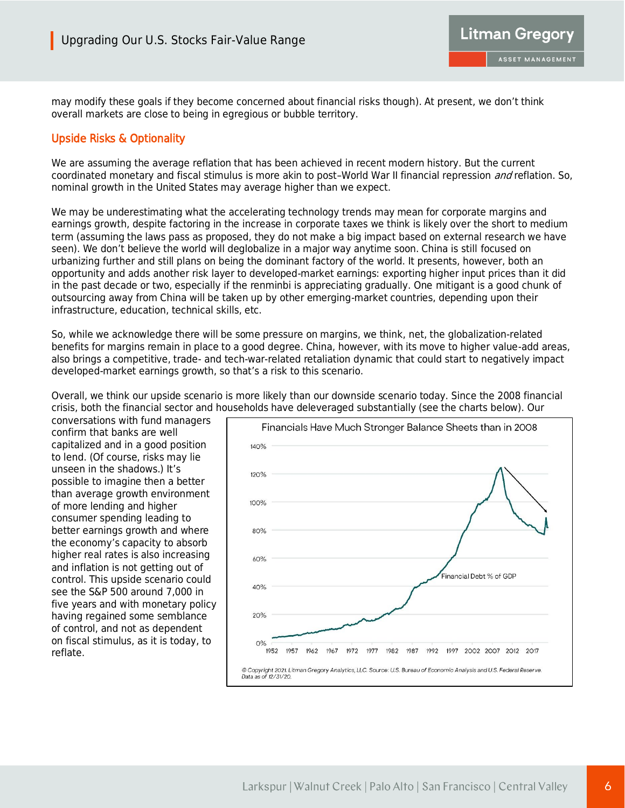

may modify these goals if they become concerned about financial risks though). At present, we don't think overall markets are close to being in egregious or bubble territory.

## Upside Risks & Optionality

We are assuming the average reflation that has been achieved in recent modern history. But the current coordinated monetary and fiscal stimulus is more akin to post–World War II financial repression *and* reflation. So, nominal growth in the United States may average higher than we expect.

We may be underestimating what the accelerating technology trends may mean for corporate margins and earnings growth, despite factoring in the increase in corporate taxes we think is likely over the short to medium term (assuming the laws pass as proposed, they do not make a big impact based on external research we have seen). We don't believe the world will deglobalize in a major way anytime soon. China is still focused on urbanizing further and still plans on being the dominant factory of the world. It presents, however, both an opportunity and adds another risk layer to developed-market earnings: exporting higher input prices than it did in the past decade or two, especially if the renminbi is appreciating gradually. One mitigant is a good chunk of outsourcing away from China will be taken up by other emerging-market countries, depending upon their infrastructure, education, technical skills, etc.

So, while we acknowledge there will be some pressure on margins, we think, net, the globalization-related benefits for margins remain in place to a good degree. China, however, with its move to higher value-add areas, also brings a competitive, trade- and tech-war-related retaliation dynamic that could start to negatively impact developed-market earnings growth, so that's a risk to this scenario.

Overall, we think our upside scenario is more likely than our downside scenario today. Since the 2008 financial crisis, both the financial sector and households have deleveraged substantially (see the charts below). Our

conversations with fund managers confirm that banks are well capitalized and in a good position to lend. (Of course, risks may lie unseen in the shadows.) It's possible to imagine then a better than average growth environment of more lending and higher consumer spending leading to better earnings growth and where the economy's capacity to absorb higher real rates is also increasing and inflation is not getting out of control. This upside scenario could see the S&P 500 around 7,000 in five years and with monetary policy having regained some semblance of control, and not as dependent on fiscal stimulus, as it is today, to reflate.